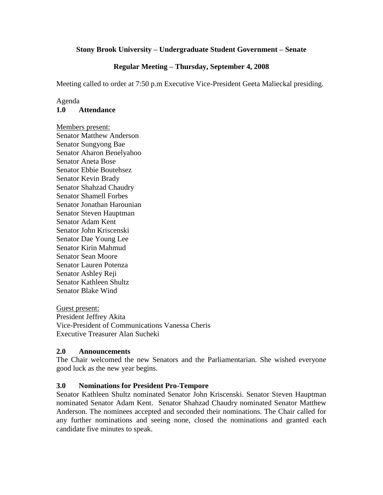### **Stony Brook University – Undergraduate Student Government – Senate**

# **Regular Meeting – Thursday, September 4, 2008**

Meeting called to order at 7:50 p.m Executive Vice-President Geeta Malieckal presiding.

#### Agenda **1.0 Attendance**

Members present: Senator Matthew Anderson Senator Sungyong Bae Senator Aharon Benelyahoo Senator Aneta Bose Senator Ebbie Boutehsez Senator Kevin Brady Senator Shahzad Chaudry Senator Shamell Forbes Senator Jonathan Harounian Senator Steven Hauptman Senator Adam Kent Senator John Kriscenski Senator Dae Young Lee Senator Kirin Mahmud Senator Sean Moore Senator Lauren Potenza Senator Ashley Reji Senator Kathleen Shultz Senator Blake Wind

Guest present: President Jeffrey Akita Vice-President of Communications Vanessa Cheris Executive Treasurer Alan Sucheki

### **2.0 Announcements**

The Chair welcomed the new Senators and the Parliamentarian. She wished everyone good luck as the new year begins.

### **3.0 Nominations for President Pro-Tempore**

Senator Kathleen Shultz nominated Senator John Kriscenski. Senator Steven Hauptman nominated Senator Adam Kent. Senator Shahzad Chaudry nominated Senator Matthew Anderson. The nominees accepted and seconded their nominations. The Chair called for any further nominations and seeing none, closed the nominations and granted each candidate five minutes to speak.